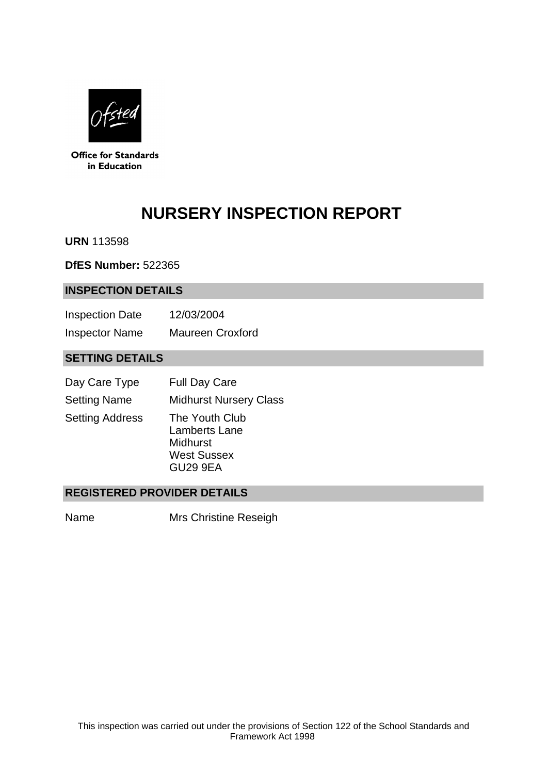

**Office for Standards** in Education

# **NURSERY INSPECTION REPORT**

**URN** 113598

**DfES Number:** 522365

#### **INSPECTION DETAILS**

| <b>Inspection Date</b> | 12/03/2004              |
|------------------------|-------------------------|
| <b>Inspector Name</b>  | <b>Maureen Croxford</b> |

# **SETTING DETAILS**

| Day Care Type          | <b>Full Day Care</b>                                                          |
|------------------------|-------------------------------------------------------------------------------|
| <b>Setting Name</b>    | <b>Midhurst Nursery Class</b>                                                 |
| <b>Setting Address</b> | The Youth Club<br>Lamberts Lane<br>Midhurst<br><b>West Sussex</b><br>GU29 9EA |

## **REGISTERED PROVIDER DETAILS**

Name Mrs Christine Reseigh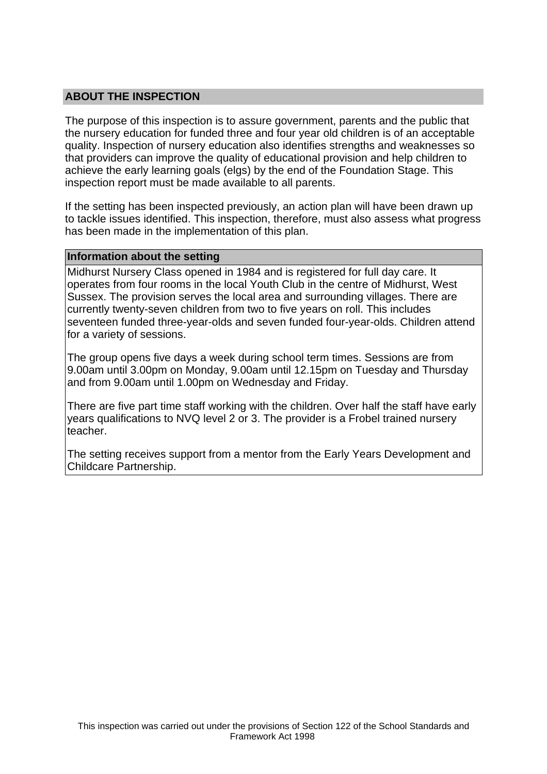## **ABOUT THE INSPECTION**

The purpose of this inspection is to assure government, parents and the public that the nursery education for funded three and four year old children is of an acceptable quality. Inspection of nursery education also identifies strengths and weaknesses so that providers can improve the quality of educational provision and help children to achieve the early learning goals (elgs) by the end of the Foundation Stage. This inspection report must be made available to all parents.

If the setting has been inspected previously, an action plan will have been drawn up to tackle issues identified. This inspection, therefore, must also assess what progress has been made in the implementation of this plan.

#### **Information about the setting**

Midhurst Nursery Class opened in 1984 and is registered for full day care. It operates from four rooms in the local Youth Club in the centre of Midhurst, West Sussex. The provision serves the local area and surrounding villages. There are currently twenty-seven children from two to five years on roll. This includes seventeen funded three-year-olds and seven funded four-year-olds. Children attend for a variety of sessions.

The group opens five days a week during school term times. Sessions are from 9.00am until 3.00pm on Monday, 9.00am until 12.15pm on Tuesday and Thursday and from 9.00am until 1.00pm on Wednesday and Friday.

There are five part time staff working with the children. Over half the staff have early years qualifications to NVQ level 2 or 3. The provider is a Frobel trained nursery teacher.

The setting receives support from a mentor from the Early Years Development and Childcare Partnership.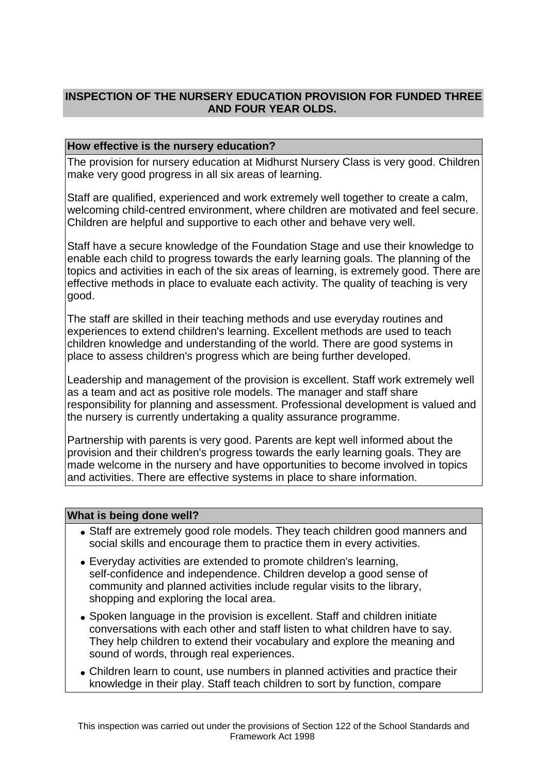## **INSPECTION OF THE NURSERY EDUCATION PROVISION FOR FUNDED THREE AND FOUR YEAR OLDS.**

## **How effective is the nursery education?**

The provision for nursery education at Midhurst Nursery Class is very good. Children make very good progress in all six areas of learning.

Staff are qualified, experienced and work extremely well together to create a calm, welcoming child-centred environment, where children are motivated and feel secure. Children are helpful and supportive to each other and behave very well.

Staff have a secure knowledge of the Foundation Stage and use their knowledge to enable each child to progress towards the early learning goals. The planning of the topics and activities in each of the six areas of learning, is extremely good. There are effective methods in place to evaluate each activity. The quality of teaching is very good.

The staff are skilled in their teaching methods and use everyday routines and experiences to extend children's learning. Excellent methods are used to teach children knowledge and understanding of the world. There are good systems in place to assess children's progress which are being further developed.

Leadership and management of the provision is excellent. Staff work extremely well as a team and act as positive role models. The manager and staff share responsibility for planning and assessment. Professional development is valued and the nursery is currently undertaking a quality assurance programme.

Partnership with parents is very good. Parents are kept well informed about the provision and their children's progress towards the early learning goals. They are made welcome in the nursery and have opportunities to become involved in topics and activities. There are effective systems in place to share information.

#### **What is being done well?**

- Staff are extremely good role models. They teach children good manners and social skills and encourage them to practice them in every activities.
- Everyday activities are extended to promote children's learning, self-confidence and independence. Children develop a good sense of community and planned activities include regular visits to the library, shopping and exploring the local area.
- Spoken language in the provision is excellent. Staff and children initiate conversations with each other and staff listen to what children have to say. They help children to extend their vocabulary and explore the meaning and sound of words, through real experiences.
- Children learn to count, use numbers in planned activities and practice their knowledge in their play. Staff teach children to sort by function, compare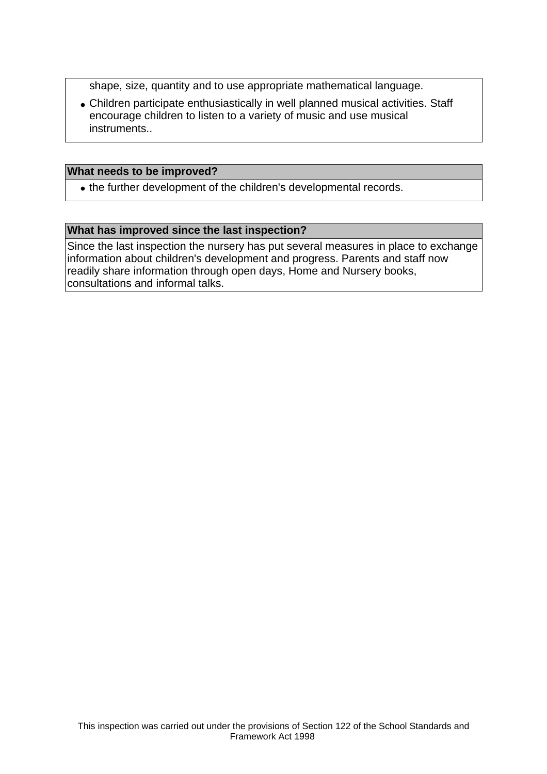shape, size, quantity and to use appropriate mathematical language.

• Children participate enthusiastically in well planned musical activities. Staff encourage children to listen to a variety of music and use musical instruments..

#### **What needs to be improved?**

• the further development of the children's developmental records.

#### **What has improved since the last inspection?**

Since the last inspection the nursery has put several measures in place to exchange information about children's development and progress. Parents and staff now readily share information through open days, Home and Nursery books, consultations and informal talks.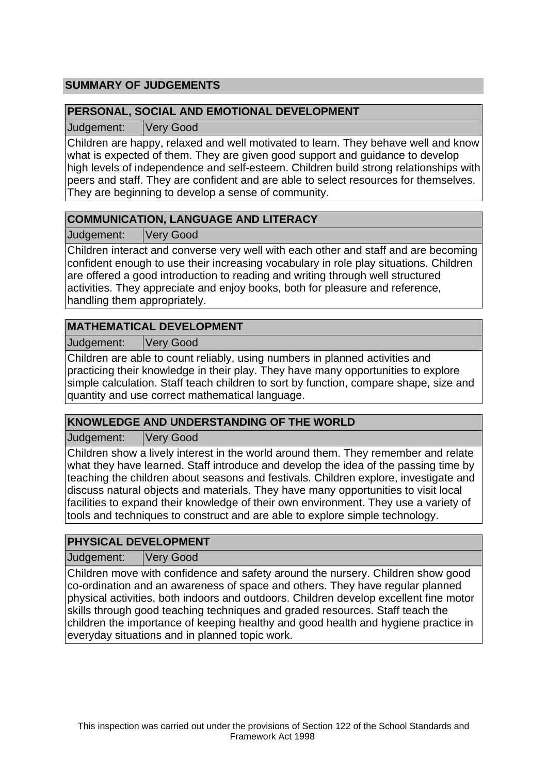## **SUMMARY OF JUDGEMENTS**

## **PERSONAL, SOCIAL AND EMOTIONAL DEVELOPMENT**

Judgement: Very Good

Children are happy, relaxed and well motivated to learn. They behave well and know what is expected of them. They are given good support and guidance to develop high levels of independence and self-esteem. Children build strong relationships with peers and staff. They are confident and are able to select resources for themselves. They are beginning to develop a sense of community.

## **COMMUNICATION, LANGUAGE AND LITERACY**

Judgement: Very Good

Children interact and converse very well with each other and staff and are becoming confident enough to use their increasing vocabulary in role play situations. Children are offered a good introduction to reading and writing through well structured activities. They appreciate and enjoy books, both for pleasure and reference, handling them appropriately.

## **MATHEMATICAL DEVELOPMENT**

Judgement: Very Good

Children are able to count reliably, using numbers in planned activities and practicing their knowledge in their play. They have many opportunities to explore simple calculation. Staff teach children to sort by function, compare shape, size and quantity and use correct mathematical language.

## **KNOWLEDGE AND UNDERSTANDING OF THE WORLD**

Judgement: Very Good

Children show a lively interest in the world around them. They remember and relate what they have learned. Staff introduce and develop the idea of the passing time by teaching the children about seasons and festivals. Children explore, investigate and discuss natural objects and materials. They have many opportunities to visit local facilities to expand their knowledge of their own environment. They use a variety of tools and techniques to construct and are able to explore simple technology.

## **PHYSICAL DEVELOPMENT**

Judgement: Very Good

Children move with confidence and safety around the nursery. Children show good co-ordination and an awareness of space and others. They have regular planned physical activities, both indoors and outdoors. Children develop excellent fine motor skills through good teaching techniques and graded resources. Staff teach the children the importance of keeping healthy and good health and hygiene practice in everyday situations and in planned topic work.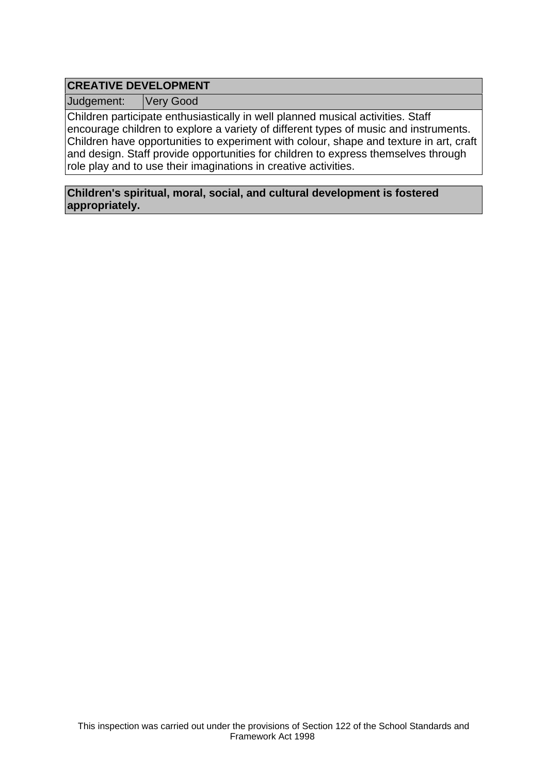# **CREATIVE DEVELOPMENT**

Judgement: Very Good

Children participate enthusiastically in well planned musical activities. Staff encourage children to explore a variety of different types of music and instruments. Children have opportunities to experiment with colour, shape and texture in art, craft and design. Staff provide opportunities for children to express themselves through role play and to use their imaginations in creative activities.

**Children's spiritual, moral, social, and cultural development is fostered appropriately.**